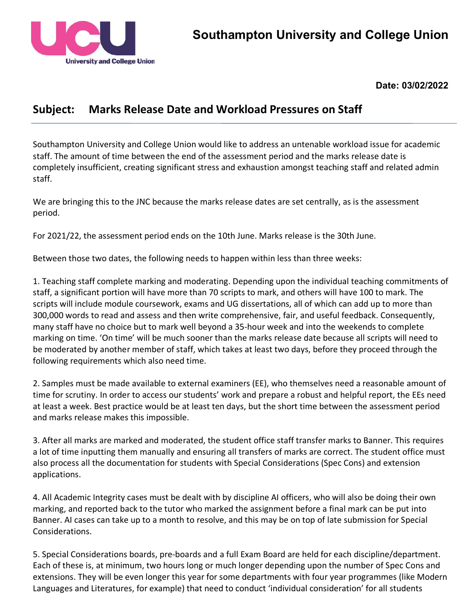

**Date: 03/02/2022**

## **Subject: Marks Release Date and Workload Pressures on Staff**

Southampton University and College Union would like to address an untenable workload issue for academic staff. The amount of time between the end of the assessment period and the marks release date is completely insufficient, creating significant stress and exhaustion amongst teaching staff and related admin staff.

We are bringing this to the JNC because the marks release dates are set centrally, as is the assessment period.

For 2021/22, the assessment period ends on the 10th June. Marks release is the 30th June.

Between those two dates, the following needs to happen within less than three weeks:

1. Teaching staff complete marking and moderating. Depending upon the individual teaching commitments of staff, a significant portion will have more than 70 scripts to mark, and others will have 100 to mark. The scripts will include module coursework, exams and UG dissertations, all of which can add up to more than 300,000 words to read and assess and then write comprehensive, fair, and useful feedback. Consequently, many staff have no choice but to mark well beyond a 35-hour week and into the weekends to complete marking on time. 'On time' will be much sooner than the marks release date because all scripts will need to be moderated by another member of staff, which takes at least two days, before they proceed through the following requirements which also need time.

2. Samples must be made available to external examiners (EE), who themselves need a reasonable amount of time for scrutiny. In order to access our students' work and prepare a robust and helpful report, the EEs need at least a week. Best practice would be at least ten days, but the short time between the assessment period and marks release makes this impossible.

3. After all marks are marked and moderated, the student office staff transfer marks to Banner. This requires a lot of time inputting them manually and ensuring all transfers of marks are correct. The student office must also process all the documentation for students with Special Considerations (Spec Cons) and extension applications.

4. All Academic Integrity cases must be dealt with by discipline AI officers, who will also be doing their own marking, and reported back to the tutor who marked the assignment before a final mark can be put into Banner. AI cases can take up to a month to resolve, and this may be on top of late submission for Special Considerations.

5. Special Considerations boards, pre-boards and a full Exam Board are held for each discipline/department. Each of these is, at minimum, two hours long or much longer depending upon the number of Spec Cons and extensions. They will be even longer this year for some departments with four year programmes (like Modern Languages and Literatures, for example) that need to conduct 'individual consideration' for all students